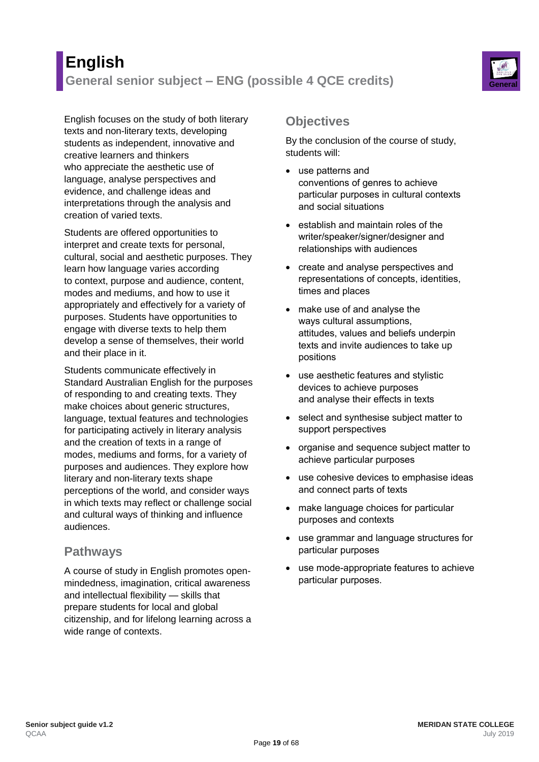# **English General senior subject – ENG (possible 4 QCE credits) General**



English focuses on the study of both literary texts and non-literary texts, developing students as independent, innovative and creative learners and thinkers who appreciate the aesthetic use of language, analyse perspectives and evidence, and challenge ideas and interpretations through the analysis and creation of varied texts.

Students are offered opportunities to interpret and create texts for personal, cultural, social and aesthetic purposes. They learn how language varies according to context, purpose and audience, content, modes and mediums, and how to use it appropriately and effectively for a variety of purposes. Students have opportunities to engage with diverse texts to help them develop a sense of themselves, their world and their place in it.

Students communicate effectively in Standard Australian English for the purposes of responding to and creating texts. They make choices about generic structures, language, textual features and technologies for participating actively in literary analysis and the creation of texts in a range of modes, mediums and forms, for a variety of purposes and audiences. They explore how literary and non-literary texts shape perceptions of the world, and consider ways in which texts may reflect or challenge social and cultural ways of thinking and influence audiences.

#### **Pathways**

A course of study in English promotes openmindedness, imagination, critical awareness and intellectual flexibility — skills that prepare students for local and global citizenship, and for lifelong learning across a wide range of contexts.

## **Objectives**

By the conclusion of the course of study, students will:

- use patterns and conventions of genres to achieve particular purposes in cultural contexts and social situations
- establish and maintain roles of the writer/speaker/signer/designer and relationships with audiences
- create and analyse perspectives and representations of concepts, identities, times and places
- make use of and analyse the ways cultural assumptions, attitudes, values and beliefs underpin texts and invite audiences to take up positions
- use aesthetic features and stylistic devices to achieve purposes and analyse their effects in texts
- select and synthesise subject matter to support perspectives
- organise and sequence subject matter to achieve particular purposes
- use cohesive devices to emphasise ideas and connect parts of texts
- make language choices for particular purposes and contexts
- use grammar and language structures for particular purposes
- use mode-appropriate features to achieve particular purposes.